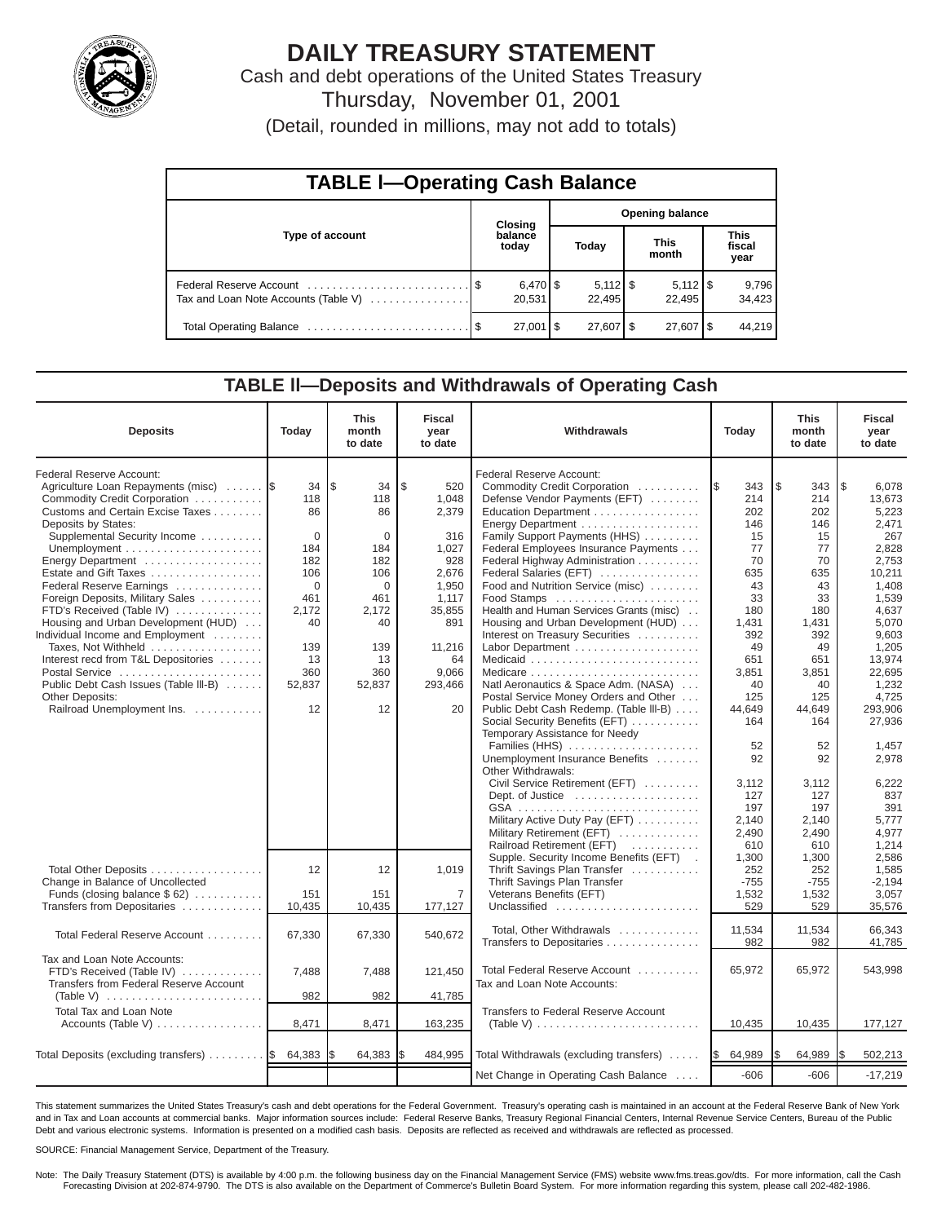

# **DAILY TREASURY STATEMENT**

Cash and debt operations of the United States Treasury Thursday, November 01, 2001

| (Detail, rounded in millions, may not add to totals) |  |  |  |  |
|------------------------------------------------------|--|--|--|--|
|------------------------------------------------------|--|--|--|--|

| <b>TABLE I-Operating Cash Balance</b> |  |                        |                        |                              |  |                        |  |                               |  |
|---------------------------------------|--|------------------------|------------------------|------------------------------|--|------------------------|--|-------------------------------|--|
| Type of account                       |  | <b>Closing</b>         | <b>Opening balance</b> |                              |  |                        |  |                               |  |
|                                       |  | balance<br>today       |                        | Today                        |  | <b>This</b><br>month   |  | <b>This</b><br>fiscal<br>year |  |
| Tax and Loan Note Accounts (Table V)  |  | $6,470$ \ \$<br>20,531 |                        | $5,112$ $\sqrt{5}$<br>22.495 |  | 22.495                 |  | 9,796<br>34,423               |  |
|                                       |  | $27,001$ \$            |                        | $27,607$ \$                  |  | $27,607$ $\frac{1}{3}$ |  | 44,219                        |  |

# **TABLE ll—Deposits and Withdrawals of Operating Cash**

| <b>Deposits</b>                                                                                                                                                                                                                                                                                                                                                                                                                                                                                                                                                                                                                                             | Today                                                                                                                     | <b>This</b><br>month<br>to date                                                                                                   | Fiscal<br>year<br>to date                                                                                                                            | Withdrawals                                                                                                                                                                                                                                                                                                                                                                                                                                                                                                                                                                                                                                                                                                                    |                                                                                                                                                             | <b>This</b><br>month<br>to date                                                                                                                            | Fiscal<br>year<br>to date                                                                                                                                                                                      |
|-------------------------------------------------------------------------------------------------------------------------------------------------------------------------------------------------------------------------------------------------------------------------------------------------------------------------------------------------------------------------------------------------------------------------------------------------------------------------------------------------------------------------------------------------------------------------------------------------------------------------------------------------------------|---------------------------------------------------------------------------------------------------------------------------|-----------------------------------------------------------------------------------------------------------------------------------|------------------------------------------------------------------------------------------------------------------------------------------------------|--------------------------------------------------------------------------------------------------------------------------------------------------------------------------------------------------------------------------------------------------------------------------------------------------------------------------------------------------------------------------------------------------------------------------------------------------------------------------------------------------------------------------------------------------------------------------------------------------------------------------------------------------------------------------------------------------------------------------------|-------------------------------------------------------------------------------------------------------------------------------------------------------------|------------------------------------------------------------------------------------------------------------------------------------------------------------|----------------------------------------------------------------------------------------------------------------------------------------------------------------------------------------------------------------|
| Federal Reserve Account:<br>Agriculture Loan Repayments (misc)<br>Commodity Credit Corporation<br>Customs and Certain Excise Taxes<br>Deposits by States:<br>Supplemental Security Income<br>Unemployment $\dots\dots\dots\dots\dots\dots\dots\dots$<br>Energy Department<br>Estate and Gift Taxes<br>Federal Reserve Earnings<br>Foreign Deposits, Military Sales<br>FTD's Received (Table IV)<br>Housing and Urban Development (HUD)<br>Individual Income and Employment<br>Taxes, Not Withheld<br>Interest recd from T&L Depositories<br>Postal Service<br>Public Debt Cash Issues (Table III-B)<br><b>Other Deposits:</b><br>Railroad Unemployment Ins. | 34<br>118<br>86<br>$\Omega$<br>184<br>182<br>106<br>$\mathbf 0$<br>461<br>2,172<br>40<br>139<br>13<br>360<br>52,837<br>12 | l \$<br>34<br>118<br>86<br>$\Omega$<br>184<br>182<br>106<br>$\mathbf 0$<br>461<br>2,172<br>40<br>139<br>13<br>360<br>52,837<br>12 | $\mathfrak{L}$<br>520<br>1,048<br>2,379<br>316<br>1.027<br>928<br>2,676<br>1,950<br>1,117<br>35,855<br>891<br>11,216<br>64<br>9.066<br>293,466<br>20 | Federal Reserve Account:<br>Commodity Credit Corporation<br>Defense Vendor Payments (EFT)<br>Education Department<br>Energy Department<br>Family Support Payments (HHS)<br>Federal Employees Insurance Payments<br>Federal Highway Administration<br>Federal Salaries (EFT)<br>Food and Nutrition Service (misc)<br>Food Stamps<br>Health and Human Services Grants (misc)<br>Housing and Urban Development (HUD)<br>Interest on Treasury Securities<br>Natl Aeronautics & Space Adm. (NASA)<br>Postal Service Money Orders and Other<br>Public Debt Cash Redemp. (Table III-B)<br>Social Security Benefits (EFT)<br>Temporary Assistance for Needy<br>Families (HHS)<br>Unemployment Insurance Benefits<br>Other Withdrawals: | 343<br>1\$<br>214<br>202<br>146<br>15<br>77<br>70<br>635<br>43<br>33<br>180<br>1,431<br>392<br>49<br>651<br>3,851<br>40<br>125<br>44,649<br>164<br>52<br>92 | 343<br>\$<br>214<br>202<br>146<br>15<br>77<br>70<br>635<br>43<br>33<br>180<br>1,431<br>392<br>49<br>651<br>3,851<br>40<br>125<br>44.649<br>164<br>52<br>92 | 6.078<br>l\$<br>13.673<br>5,223<br>2,471<br>267<br>2.828<br>2.753<br>10,211<br>1,408<br>1,539<br>4,637<br>5,070<br>9.603<br>1,205<br>13.974<br>22,695<br>1,232<br>4,725<br>293.906<br>27.936<br>1,457<br>2,978 |
|                                                                                                                                                                                                                                                                                                                                                                                                                                                                                                                                                                                                                                                             |                                                                                                                           |                                                                                                                                   |                                                                                                                                                      | Civil Service Retirement (EFT)<br>Dept. of Justice<br>Military Active Duty Pay (EFT)<br>Military Retirement (EFT)<br>Railroad Retirement (EFT)                                                                                                                                                                                                                                                                                                                                                                                                                                                                                                                                                                                 | 3,112<br>127<br>197<br>2,140<br>2,490<br>610                                                                                                                | 3.112<br>127<br>197<br>2,140<br>2,490<br>610                                                                                                               | 6,222<br>837<br>391<br>5,777<br>4,977<br>1,214                                                                                                                                                                 |
| Total Other Deposits<br>Change in Balance of Uncollected<br>Funds (closing balance $$62)$<br>Transfers from Depositaries                                                                                                                                                                                                                                                                                                                                                                                                                                                                                                                                    | 12<br>151<br>10,435                                                                                                       | 12<br>151<br>10,435                                                                                                               | 1,019<br>$\overline{7}$<br>177,127                                                                                                                   | Supple. Security Income Benefits (EFT) .<br>Thrift Savings Plan Transfer<br>Thrift Savings Plan Transfer<br>Veterans Benefits (EFT)<br>Unclassified                                                                                                                                                                                                                                                                                                                                                                                                                                                                                                                                                                            | 1,300<br>252<br>$-755$<br>1,532<br>529                                                                                                                      | 1,300<br>252<br>$-755$<br>1,532<br>529                                                                                                                     | 2.586<br>1,585<br>$-2.194$<br>3,057<br>35,576                                                                                                                                                                  |
| Total Federal Reserve Account                                                                                                                                                                                                                                                                                                                                                                                                                                                                                                                                                                                                                               | 67,330                                                                                                                    | 67,330                                                                                                                            | 540,672                                                                                                                                              | Total, Other Withdrawals<br>Transfers to Depositaries                                                                                                                                                                                                                                                                                                                                                                                                                                                                                                                                                                                                                                                                          | 11,534<br>982                                                                                                                                               | 11,534<br>982                                                                                                                                              | 66,343<br>41,785                                                                                                                                                                                               |
| Tax and Loan Note Accounts:<br>FTD's Received (Table IV)<br>Transfers from Federal Reserve Account<br>(Table V) $\ldots \ldots \ldots \ldots \ldots \ldots \ldots$                                                                                                                                                                                                                                                                                                                                                                                                                                                                                          | 7,488<br>982                                                                                                              | 7,488<br>982                                                                                                                      | 121,450<br>41,785                                                                                                                                    | Total Federal Reserve Account<br>Tax and Loan Note Accounts:                                                                                                                                                                                                                                                                                                                                                                                                                                                                                                                                                                                                                                                                   | 65,972                                                                                                                                                      | 65,972                                                                                                                                                     | 543,998                                                                                                                                                                                                        |
| <b>Total Tax and Loan Note</b><br>Accounts (Table V)                                                                                                                                                                                                                                                                                                                                                                                                                                                                                                                                                                                                        | 8,471                                                                                                                     | 8,471                                                                                                                             | 163,235                                                                                                                                              | Transfers to Federal Reserve Account<br>(Table V) $\ldots \ldots \ldots \ldots \ldots \ldots \ldots \ldots$                                                                                                                                                                                                                                                                                                                                                                                                                                                                                                                                                                                                                    | 10,435                                                                                                                                                      | 10,435                                                                                                                                                     | 177,127                                                                                                                                                                                                        |
| Total Deposits (excluding transfers)  \$                                                                                                                                                                                                                                                                                                                                                                                                                                                                                                                                                                                                                    | 64,383                                                                                                                    | 64,383                                                                                                                            | 484,995                                                                                                                                              | Total Withdrawals (excluding transfers)                                                                                                                                                                                                                                                                                                                                                                                                                                                                                                                                                                                                                                                                                        | 64,989<br>I\$                                                                                                                                               | 64,989                                                                                                                                                     | 502,213                                                                                                                                                                                                        |
|                                                                                                                                                                                                                                                                                                                                                                                                                                                                                                                                                                                                                                                             |                                                                                                                           |                                                                                                                                   |                                                                                                                                                      | Net Change in Operating Cash Balance                                                                                                                                                                                                                                                                                                                                                                                                                                                                                                                                                                                                                                                                                           | $-606$                                                                                                                                                      | $-606$                                                                                                                                                     | $-17,219$                                                                                                                                                                                                      |

This statement summarizes the United States Treasury's cash and debt operations for the Federal Government. Treasury's operating cash is maintained in an account at the Federal Reserve Bank of New York and in Tax and Loan accounts at commercial banks. Major information sources include: Federal Reserve Banks, Treasury Regional Financial Centers, Internal Revenue Service Centers, Bureau of the Public Debt and various electronic systems. Information is presented on a modified cash basis. Deposits are reflected as received and withdrawals are reflected as processed.

SOURCE: Financial Management Service, Department of the Treasury.

Note: The Daily Treasury Statement (DTS) is available by 4:00 p.m. the following business day on the Financial Management Service (FMS) website www.fms.treas.gov/dts. For more information, call the Cash Forecasting Division at 202-874-9790. The DTS is also available on the Department of Commerce's Bulletin Board System. For more information regarding this system, please call 202-482-1986.